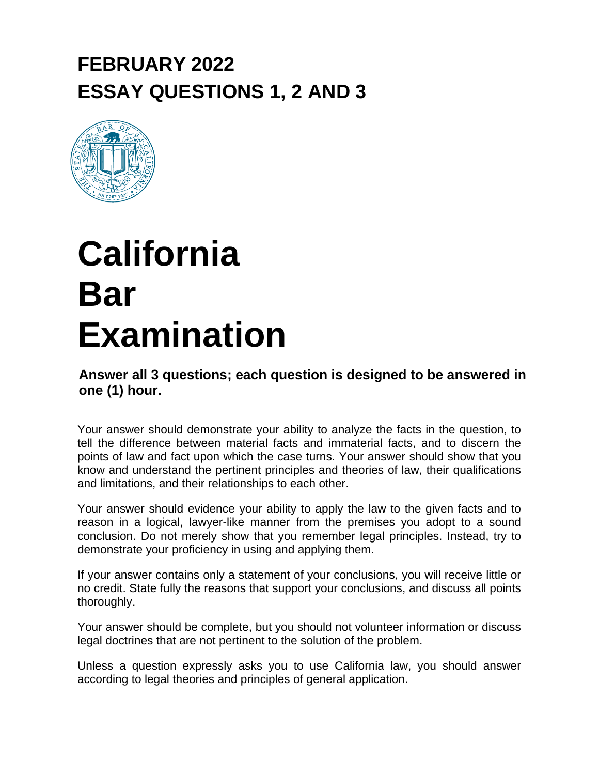## **FEBRUARY 2022 ESSAY QUESTIONS 1, 2 AND 3**



## **California Bar Examination**

**Answer all 3 questions; each question is designed to be answered in one (1) hour.**

Your answer should demonstrate your ability to analyze the facts in the question, to tell the difference between material facts and immaterial facts, and to discern the points of law and fact upon which the case turns. Your answer should show that you know and understand the pertinent principles and theories of law, their qualifications and limitations, and their relationships to each other.

Your answer should evidence your ability to apply the law to the given facts and to reason in a logical, lawyer-like manner from the premises you adopt to a sound conclusion. Do not merely show that you remember legal principles. Instead, try to demonstrate your proficiency in using and applying them.

If your answer contains only a statement of your conclusions, you will receive little or no credit. State fully the reasons that support your conclusions, and discuss all points thoroughly.

Your answer should be complete, but you should not volunteer information or discuss legal doctrines that are not pertinent to the solution of the problem.

Unless a question expressly asks you to use California law, you should answer according to legal theories and principles of general application.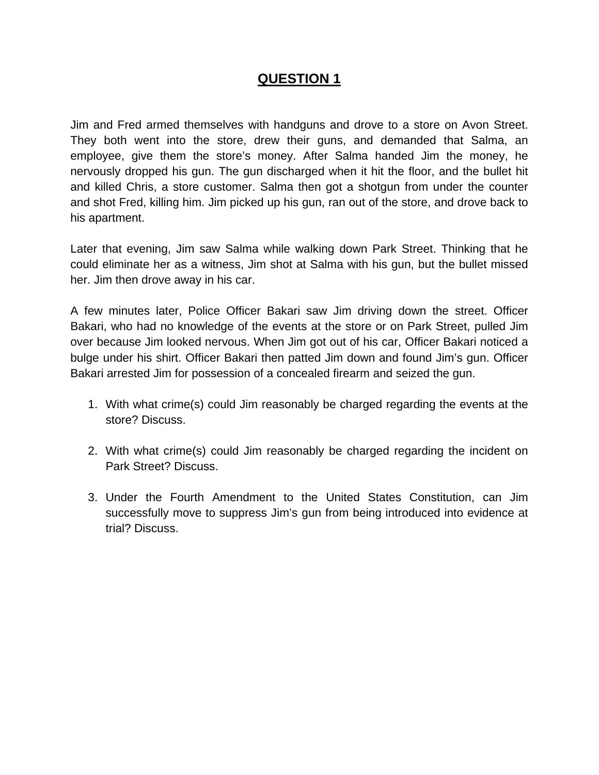Jim and Fred armed themselves with handguns and drove to a store on Avon Street. They both went into the store, drew their guns, and demanded that Salma, an employee, give them the store's money. After Salma handed Jim the money, he nervously dropped his gun. The gun discharged when it hit the floor, and the bullet hit and killed Chris, a store customer. Salma then got a shotgun from under the counter and shot Fred, killing him. Jim picked up his gun, ran out of the store, and drove back to his apartment.

Later that evening, Jim saw Salma while walking down Park Street. Thinking that he could eliminate her as a witness, Jim shot at Salma with his gun, but the bullet missed her. Jim then drove away in his car.

A few minutes later, Police Officer Bakari saw Jim driving down the street. Officer Bakari, who had no knowledge of the events at the store or on Park Street, pulled Jim over because Jim looked nervous. When Jim got out of his car, Officer Bakari noticed a bulge under his shirt. Officer Bakari then patted Jim down and found Jim's gun. Officer Bakari arrested Jim for possession of a concealed firearm and seized the gun.

- 1. With what crime(s) could Jim reasonably be charged regarding the events at the store? Discuss.
- 2. With what crime(s) could Jim reasonably be charged regarding the incident on Park Street? Discuss.
- 3. Under the Fourth Amendment to the United States Constitution, can Jim successfully move to suppress Jim's gun from being introduced into evidence at trial? Discuss.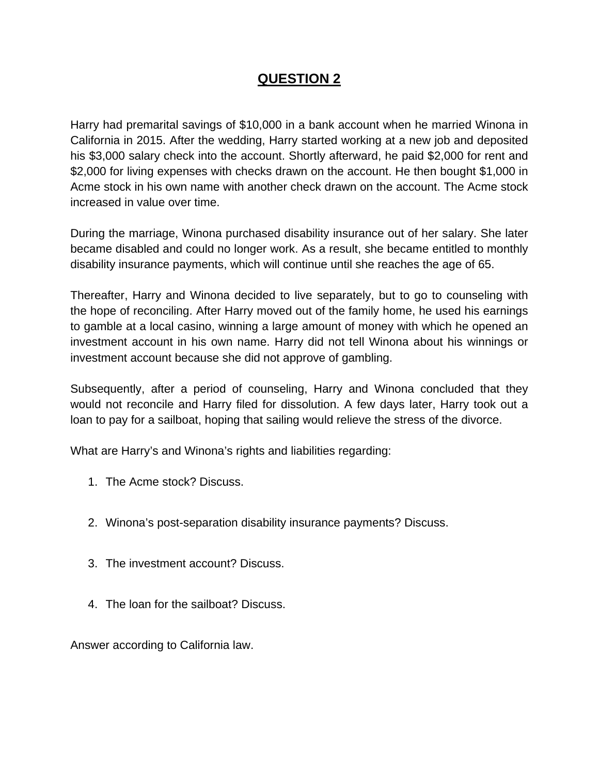Harry had premarital savings of \$10,000 in a bank account when he married Winona in California in 2015. After the wedding, Harry started working at a new job and deposited his \$3,000 salary check into the account. Shortly afterward, he paid \$2,000 for rent and \$2,000 for living expenses with checks drawn on the account. He then bought \$1,000 in Acme stock in his own name with another check drawn on the account. The Acme stock increased in value over time.

During the marriage, Winona purchased disability insurance out of her salary. She later became disabled and could no longer work. As a result, she became entitled to monthly disability insurance payments, which will continue until she reaches the age of 65.

Thereafter, Harry and Winona decided to live separately, but to go to counseling with the hope of reconciling. After Harry moved out of the family home, he used his earnings to gamble at a local casino, winning a large amount of money with which he opened an investment account in his own name. Harry did not tell Winona about his winnings or investment account because she did not approve of gambling.

Subsequently, after a period of counseling, Harry and Winona concluded that they would not reconcile and Harry filed for dissolution. A few days later, Harry took out a loan to pay for a sailboat, hoping that sailing would relieve the stress of the divorce.

What are Harry's and Winona's rights and liabilities regarding:

- 1. The Acme stock? Discuss.
- 2. Winona's post-separation disability insurance payments? Discuss.
- 3. The investment account? Discuss.
- 4. The loan for the sailboat? Discuss.

Answer according to California law.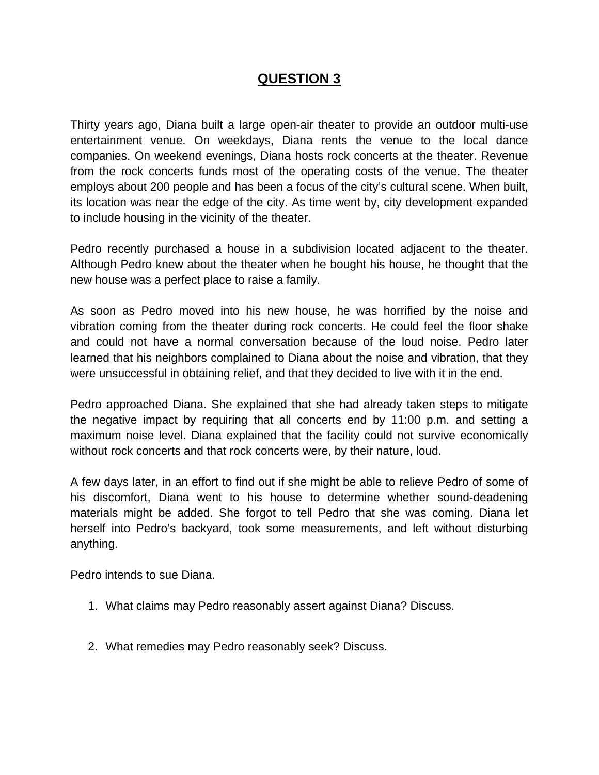Thirty years ago, Diana built a large open-air theater to provide an outdoor multi-use entertainment venue. On weekdays, Diana rents the venue to the local dance companies. On weekend evenings, Diana hosts rock concerts at the theater. Revenue from the rock concerts funds most of the operating costs of the venue. The theater employs about 200 people and has been a focus of the city's cultural scene. When built, its location was near the edge of the city. As time went by, city development expanded to include housing in the vicinity of the theater.

Pedro recently purchased a house in a subdivision located adjacent to the theater. Although Pedro knew about the theater when he bought his house, he thought that the new house was a perfect place to raise a family.

As soon as Pedro moved into his new house, he was horrified by the noise and vibration coming from the theater during rock concerts. He could feel the floor shake and could not have a normal conversation because of the loud noise. Pedro later learned that his neighbors complained to Diana about the noise and vibration, that they were unsuccessful in obtaining relief, and that they decided to live with it in the end.

Pedro approached Diana. She explained that she had already taken steps to mitigate the negative impact by requiring that all concerts end by 11:00 p.m. and setting a maximum noise level. Diana explained that the facility could not survive economically without rock concerts and that rock concerts were, by their nature, loud.

A few days later, in an effort to find out if she might be able to relieve Pedro of some of his discomfort, Diana went to his house to determine whether sound-deadening materials might be added. She forgot to tell Pedro that she was coming. Diana let herself into Pedro's backyard, took some measurements, and left without disturbing anything.

Pedro intends to sue Diana.

- 1. What claims may Pedro reasonably assert against Diana? Discuss.
- 2. What remedies may Pedro reasonably seek? Discuss.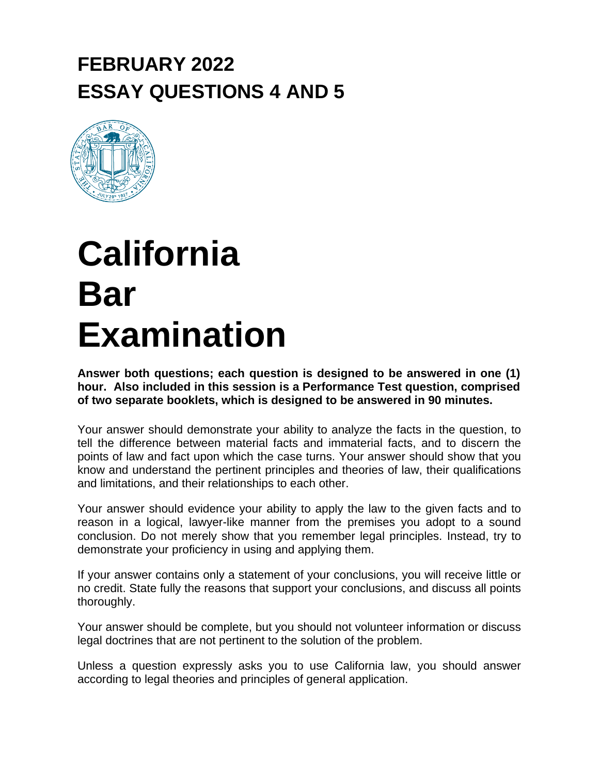## **FEBRUARY 2022 ESSAY QUESTIONS 4 AND 5**



## **California Bar Examination**

**Answer both questions; each question is designed to be answered in one (1) hour. Also included in this session is a Performance Test question, comprised of two separate booklets, which is designed to be answered in 90 minutes.**

Your answer should demonstrate your ability to analyze the facts in the question, to tell the difference between material facts and immaterial facts, and to discern the points of law and fact upon which the case turns. Your answer should show that you know and understand the pertinent principles and theories of law, their qualifications and limitations, and their relationships to each other.

Your answer should evidence your ability to apply the law to the given facts and to reason in a logical, lawyer-like manner from the premises you adopt to a sound conclusion. Do not merely show that you remember legal principles. Instead, try to demonstrate your proficiency in using and applying them.

If your answer contains only a statement of your conclusions, you will receive little or no credit. State fully the reasons that support your conclusions, and discuss all points thoroughly.

Your answer should be complete, but you should not volunteer information or discuss legal doctrines that are not pertinent to the solution of the problem.

Unless a question expressly asks you to use California law, you should answer according to legal theories and principles of general application.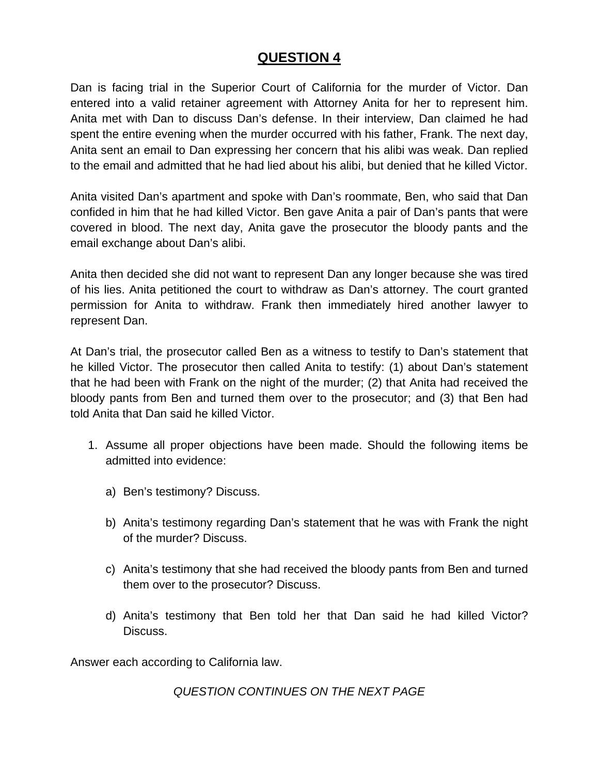Dan is facing trial in the Superior Court of California for the murder of Victor. Dan entered into a valid retainer agreement with Attorney Anita for her to represent him. Anita met with Dan to discuss Dan's defense. In their interview, Dan claimed he had spent the entire evening when the murder occurred with his father, Frank. The next day, Anita sent an email to Dan expressing her concern that his alibi was weak. Dan replied to the email and admitted that he had lied about his alibi, but denied that he killed Victor.

Anita visited Dan's apartment and spoke with Dan's roommate, Ben, who said that Dan confided in him that he had killed Victor. Ben gave Anita a pair of Dan's pants that were covered in blood. The next day, Anita gave the prosecutor the bloody pants and the email exchange about Dan's alibi.

Anita then decided she did not want to represent Dan any longer because she was tired of his lies. Anita petitioned the court to withdraw as Dan's attorney. The court granted permission for Anita to withdraw. Frank then immediately hired another lawyer to represent Dan.

At Dan's trial, the prosecutor called Ben as a witness to testify to Dan's statement that he killed Victor. The prosecutor then called Anita to testify: (1) about Dan's statement that he had been with Frank on the night of the murder; (2) that Anita had received the bloody pants from Ben and turned them over to the prosecutor; and (3) that Ben had told Anita that Dan said he killed Victor.

- 1. Assume all proper objections have been made. Should the following items be admitted into evidence:
	- a) Ben's testimony? Discuss.
	- b) Anita's testimony regarding Dan's statement that he was with Frank the night of the murder? Discuss.
	- c) Anita's testimony that she had received the bloody pants from Ben and turned them over to the prosecutor? Discuss.
	- d) Anita's testimony that Ben told her that Dan said he had killed Victor? Discuss.

Answer each according to California law.

*QUESTION CONTINUES ON THE NEXT PAGE*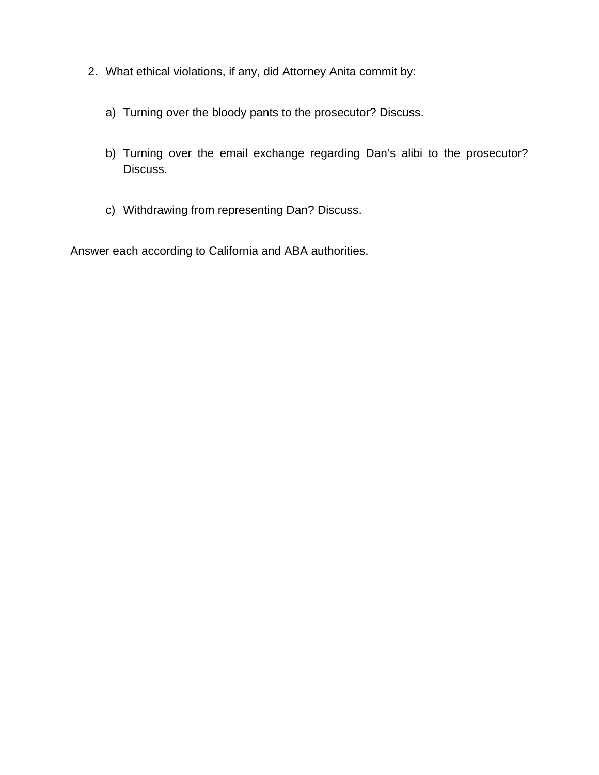- 2. What ethical violations, if any, did Attorney Anita commit by:
	- a) Turning over the bloody pants to the prosecutor? Discuss.
	- b) Turning over the email exchange regarding Dan's alibi to the prosecutor? Discuss.
	- c) Withdrawing from representing Dan? Discuss.

Answer each according to California and ABA authorities.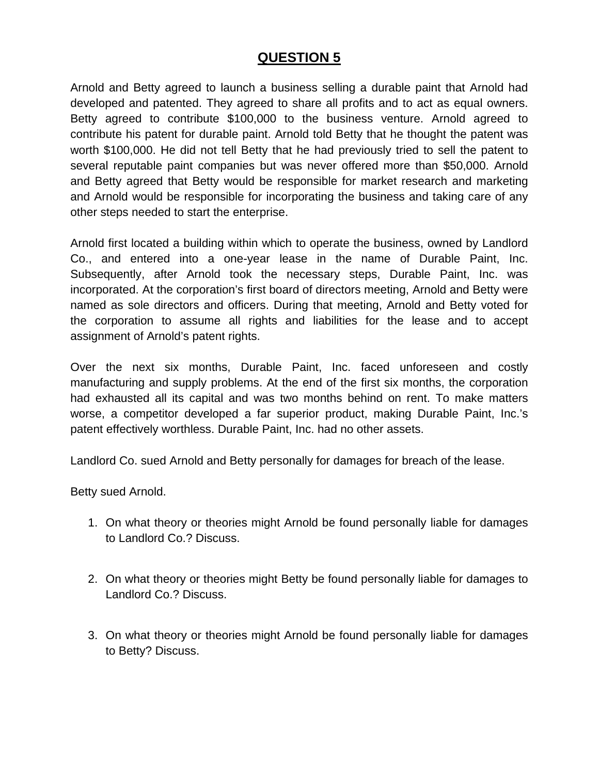Arnold and Betty agreed to launch a business selling a durable paint that Arnold had developed and patented. They agreed to share all profits and to act as equal owners. Betty agreed to contribute \$100,000 to the business venture. Arnold agreed to contribute his patent for durable paint. Arnold told Betty that he thought the patent was worth \$100,000. He did not tell Betty that he had previously tried to sell the patent to several reputable paint companies but was never offered more than \$50,000. Arnold and Betty agreed that Betty would be responsible for market research and marketing and Arnold would be responsible for incorporating the business and taking care of any other steps needed to start the enterprise.

Arnold first located a building within which to operate the business, owned by Landlord Co., and entered into a one-year lease in the name of Durable Paint, Inc. Subsequently, after Arnold took the necessary steps, Durable Paint, Inc. was incorporated. At the corporation's first board of directors meeting, Arnold and Betty were named as sole directors and officers. During that meeting, Arnold and Betty voted for the corporation to assume all rights and liabilities for the lease and to accept assignment of Arnold's patent rights.

Over the next six months, Durable Paint, Inc. faced unforeseen and costly manufacturing and supply problems. At the end of the first six months, the corporation had exhausted all its capital and was two months behind on rent. To make matters worse, a competitor developed a far superior product, making Durable Paint, Inc.'s patent effectively worthless. Durable Paint, Inc. had no other assets.

Landlord Co. sued Arnold and Betty personally for damages for breach of the lease.

Betty sued Arnold.

- 1. On what theory or theories might Arnold be found personally liable for damages to Landlord Co.? Discuss.
- 2. On what theory or theories might Betty be found personally liable for damages to Landlord Co.? Discuss.
- 3. On what theory or theories might Arnold be found personally liable for damages to Betty? Discuss.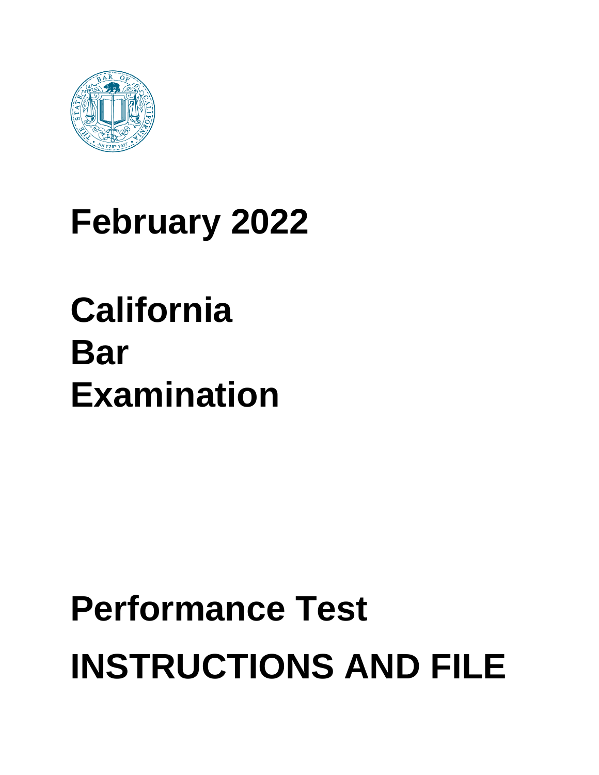

## **February 2022**

## **California Bar Examination**

# **Performance Test INSTRUCTIONS AND FILE**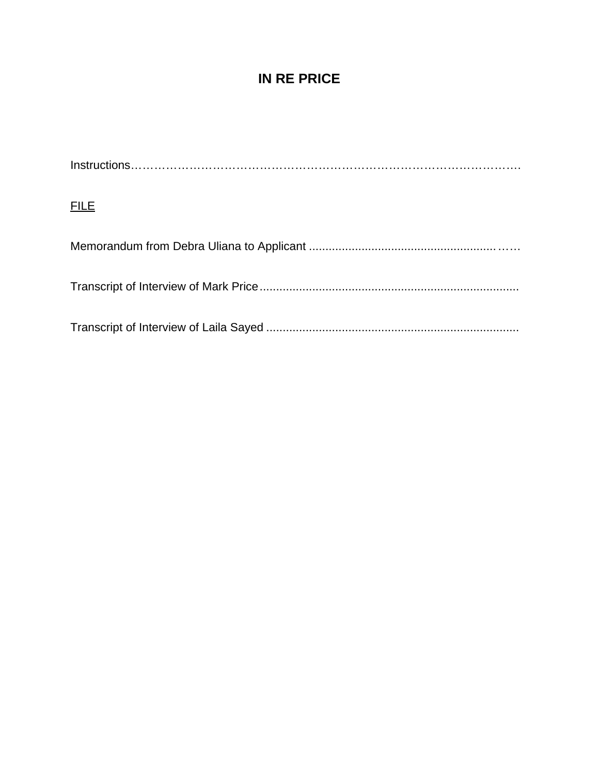### **IN RE PRICE**

Instructions………………………………………………………………………………………. **FILE** Memorandum from Debra Uliana to Applicant ......................................................... …… Transcript of Interview of Mark Price............................................................................... Transcript of Interview of Laila Sayed .............................................................................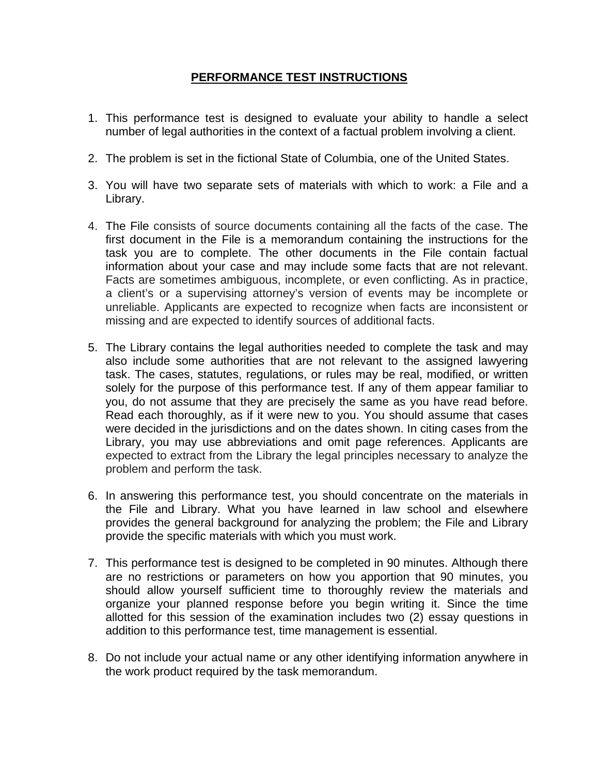#### **PERFORMANCE TEST INSTRUCTIONS**

- 1. This performance test is designed to evaluate your ability to handle a select number of legal authorities in the context of a factual problem involving a client.
- 2. The problem is set in the fictional State of Columbia, one of the United States.
- 3. You will have two separate sets of materials with which to work: a File and a Library.
- 4. The File consists of source documents containing all the facts of the case. The first document in the File is a memorandum containing the instructions for the task you are to complete. The other documents in the File contain factual information about your case and may include some facts that are not relevant. Facts are sometimes ambiguous, incomplete, or even conflicting. As in practice, a client's or a supervising attorney's version of events may be incomplete or unreliable. Applicants are expected to recognize when facts are inconsistent or missing and are expected to identify sources of additional facts.
- 5. The Library contains the legal authorities needed to complete the task and may also include some authorities that are not relevant to the assigned lawyering task. The cases, statutes, regulations, or rules may be real, modified, or written solely for the purpose of this performance test. If any of them appear familiar to you, do not assume that they are precisely the same as you have read before. Read each thoroughly, as if it were new to you. You should assume that cases were decided in the jurisdictions and on the dates shown. In citing cases from the Library, you may use abbreviations and omit page references. Applicants are expected to extract from the Library the legal principles necessary to analyze the problem and perform the task.
- 6. In answering this performance test, you should concentrate on the materials in the File and Library. What you have learned in law school and elsewhere provides the general background for analyzing the problem; the File and Library provide the specific materials with which you must work.
- 7. This performance test is designed to be completed in 90 minutes. Although there are no restrictions or parameters on how you apportion that 90 minutes, you should allow yourself sufficient time to thoroughly review the materials and organize your planned response before you begin writing it. Since the time allotted for this session of the examination includes two (2) essay questions in addition to this performance test, time management is essential.
- 8. Do not include your actual name or any other identifying information anywhere in the work product required by the task memorandum.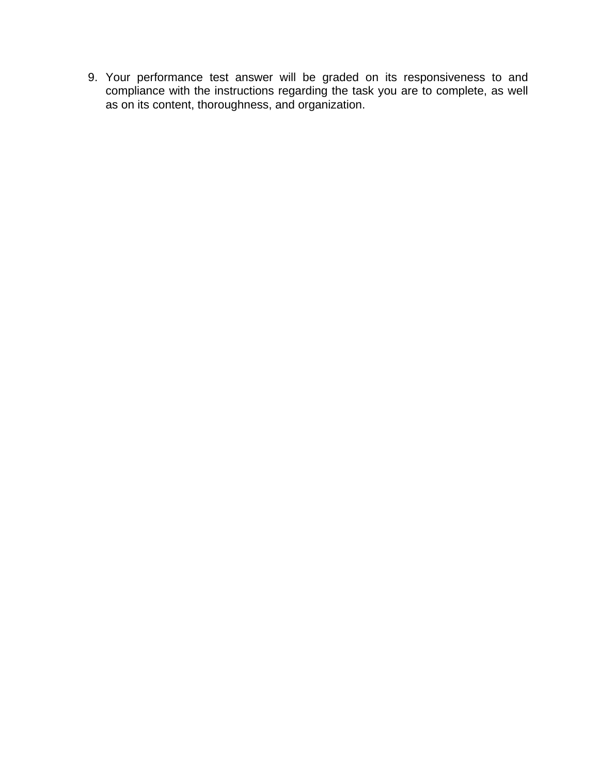9. Your performance test answer will be graded on its responsiveness to and compliance with the instructions regarding the task you are to complete, as well as on its content, thoroughness, and organization.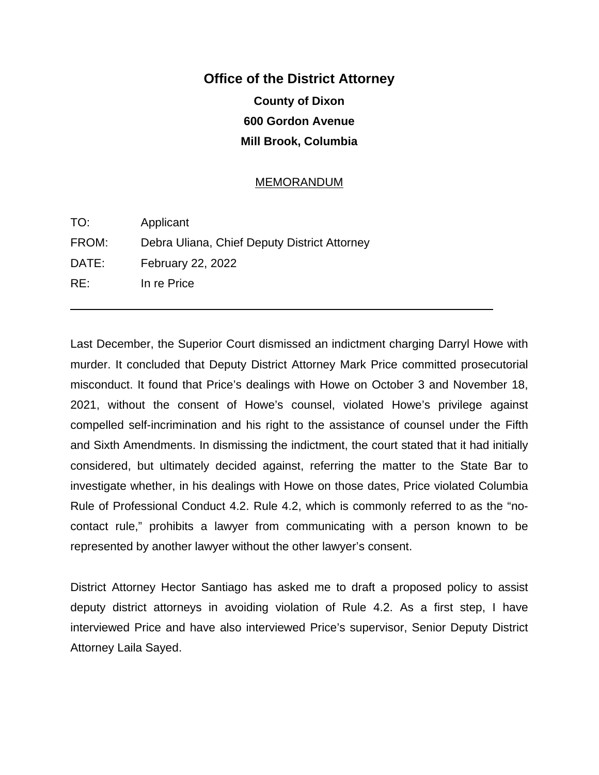## **Office of the District Attorney County of Dixon 600 Gordon Avenue Mill Brook, Columbia**

#### MEMORANDUM

| TO:   | Applicant                                    |
|-------|----------------------------------------------|
| FROM: | Debra Uliana, Chief Deputy District Attorney |
| DATE: | February 22, 2022                            |
| RE:   | In re Price                                  |
|       |                                              |

 $\overline{a}$ 

Last December, the Superior Court dismissed an indictment charging Darryl Howe with murder. It concluded that Deputy District Attorney Mark Price committed prosecutorial misconduct. It found that Price's dealings with Howe on October 3 and November 18, 2021, without the consent of Howe's counsel, violated Howe's privilege against compelled self-incrimination and his right to the assistance of counsel under the Fifth and Sixth Amendments. In dismissing the indictment, the court stated that it had initially considered, but ultimately decided against, referring the matter to the State Bar to investigate whether, in his dealings with Howe on those dates, Price violated Columbia Rule of Professional Conduct 4.2. Rule 4.2, which is commonly referred to as the "nocontact rule," prohibits a lawyer from communicating with a person known to be represented by another lawyer without the other lawyer's consent.

District Attorney Hector Santiago has asked me to draft a proposed policy to assist deputy district attorneys in avoiding violation of Rule 4.2. As a first step, I have interviewed Price and have also interviewed Price's supervisor, Senior Deputy District Attorney Laila Sayed.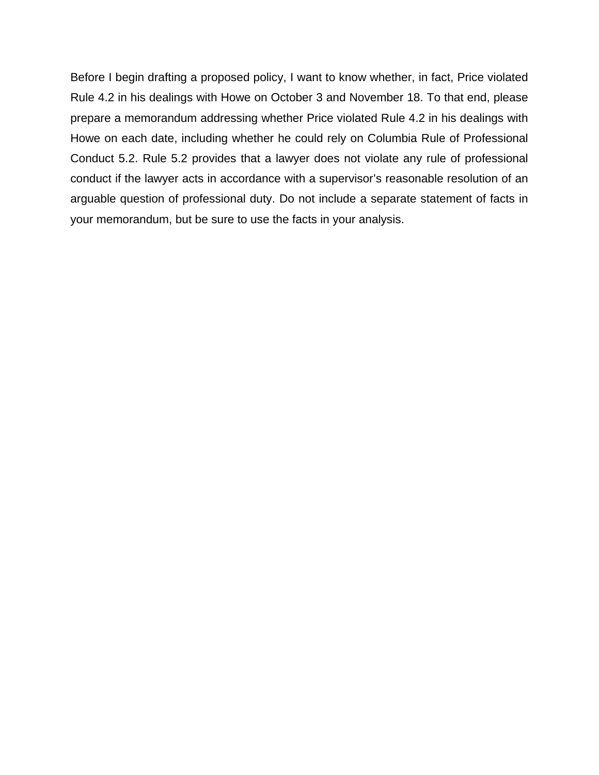Before I begin drafting a proposed policy, I want to know whether, in fact, Price violated Rule 4.2 in his dealings with Howe on October 3 and November 18. To that end, please prepare a memorandum addressing whether Price violated Rule 4.2 in his dealings with Howe on each date, including whether he could rely on Columbia Rule of Professional Conduct 5.2. Rule 5.2 provides that a lawyer does not violate any rule of professional conduct if the lawyer acts in accordance with a supervisor's reasonable resolution of an arguable question of professional duty. Do not include a separate statement of facts in your memorandum, but be sure to use the facts in your analysis.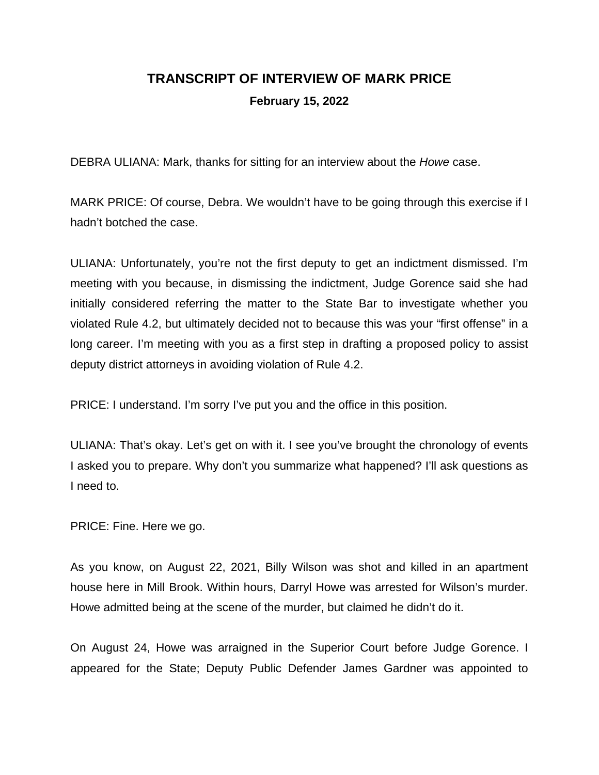## **TRANSCRIPT OF INTERVIEW OF MARK PRICE February 15, 2022**

DEBRA ULIANA: Mark, thanks for sitting for an interview about the *Howe* case.

MARK PRICE: Of course, Debra. We wouldn't have to be going through this exercise if I hadn't botched the case.

ULIANA: Unfortunately, you're not the first deputy to get an indictment dismissed. I'm meeting with you because, in dismissing the indictment, Judge Gorence said she had initially considered referring the matter to the State Bar to investigate whether you violated Rule 4.2, but ultimately decided not to because this was your "first offense" in a long career. I'm meeting with you as a first step in drafting a proposed policy to assist deputy district attorneys in avoiding violation of Rule 4.2.

PRICE: I understand. I'm sorry I've put you and the office in this position.

ULIANA: That's okay. Let's get on with it. I see you've brought the chronology of events I asked you to prepare. Why don't you summarize what happened? I'll ask questions as I need to.

PRICE: Fine. Here we go.

As you know, on August 22, 2021, Billy Wilson was shot and killed in an apartment house here in Mill Brook. Within hours, Darryl Howe was arrested for Wilson's murder. Howe admitted being at the scene of the murder, but claimed he didn't do it.

On August 24, Howe was arraigned in the Superior Court before Judge Gorence. I appeared for the State; Deputy Public Defender James Gardner was appointed to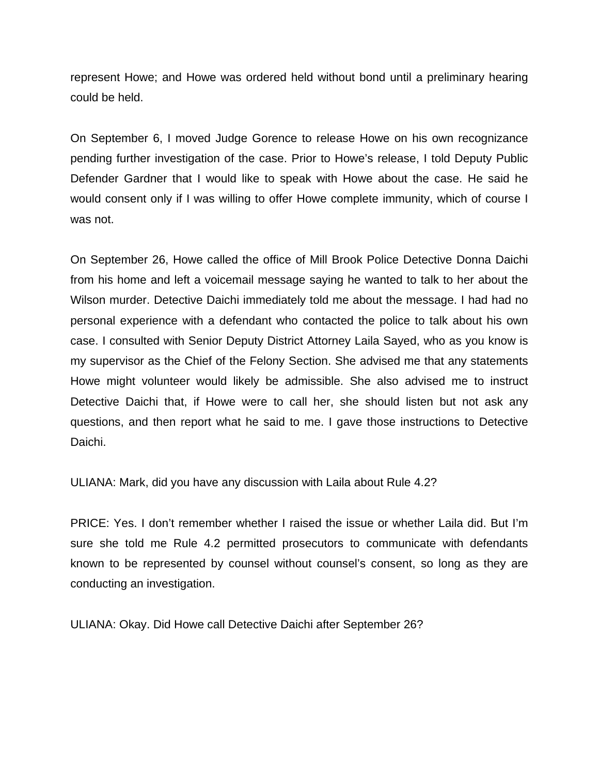represent Howe; and Howe was ordered held without bond until a preliminary hearing could be held.

On September 6, I moved Judge Gorence to release Howe on his own recognizance pending further investigation of the case. Prior to Howe's release, I told Deputy Public Defender Gardner that I would like to speak with Howe about the case. He said he would consent only if I was willing to offer Howe complete immunity, which of course I was not.

On September 26, Howe called the office of Mill Brook Police Detective Donna Daichi from his home and left a voicemail message saying he wanted to talk to her about the Wilson murder. Detective Daichi immediately told me about the message. I had had no personal experience with a defendant who contacted the police to talk about his own case. I consulted with Senior Deputy District Attorney Laila Sayed, who as you know is my supervisor as the Chief of the Felony Section. She advised me that any statements Howe might volunteer would likely be admissible. She also advised me to instruct Detective Daichi that, if Howe were to call her, she should listen but not ask any questions, and then report what he said to me. I gave those instructions to Detective Daichi.

ULIANA: Mark, did you have any discussion with Laila about Rule 4.2?

PRICE: Yes. I don't remember whether I raised the issue or whether Laila did. But I'm sure she told me Rule 4.2 permitted prosecutors to communicate with defendants known to be represented by counsel without counsel's consent, so long as they are conducting an investigation.

ULIANA: Okay. Did Howe call Detective Daichi after September 26?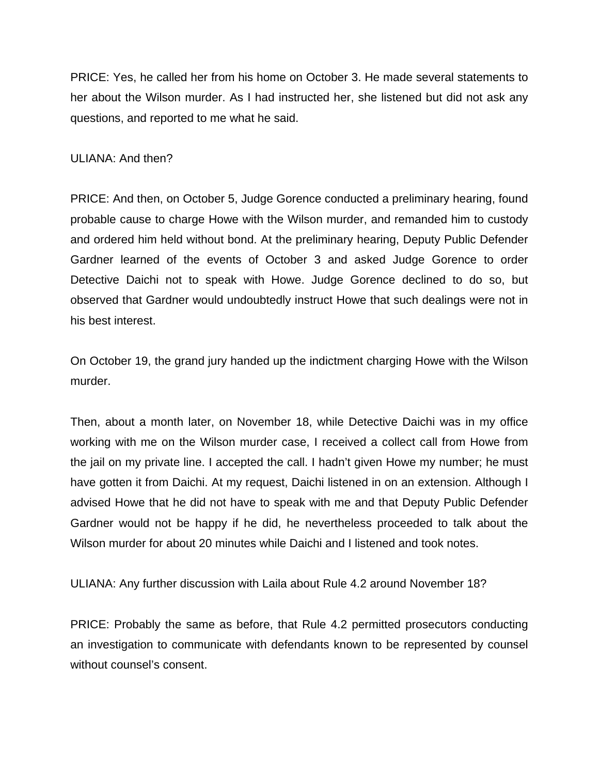PRICE: Yes, he called her from his home on October 3. He made several statements to her about the Wilson murder. As I had instructed her, she listened but did not ask any questions, and reported to me what he said.

#### ULIANA: And then?

PRICE: And then, on October 5, Judge Gorence conducted a preliminary hearing, found probable cause to charge Howe with the Wilson murder, and remanded him to custody and ordered him held without bond. At the preliminary hearing, Deputy Public Defender Gardner learned of the events of October 3 and asked Judge Gorence to order Detective Daichi not to speak with Howe. Judge Gorence declined to do so, but observed that Gardner would undoubtedly instruct Howe that such dealings were not in his best interest.

On October 19, the grand jury handed up the indictment charging Howe with the Wilson murder.

Then, about a month later, on November 18, while Detective Daichi was in my office working with me on the Wilson murder case, I received a collect call from Howe from the jail on my private line. I accepted the call. I hadn't given Howe my number; he must have gotten it from Daichi. At my request, Daichi listened in on an extension. Although I advised Howe that he did not have to speak with me and that Deputy Public Defender Gardner would not be happy if he did, he nevertheless proceeded to talk about the Wilson murder for about 20 minutes while Daichi and I listened and took notes.

ULIANA: Any further discussion with Laila about Rule 4.2 around November 18?

PRICE: Probably the same as before, that Rule 4.2 permitted prosecutors conducting an investigation to communicate with defendants known to be represented by counsel without counsel's consent.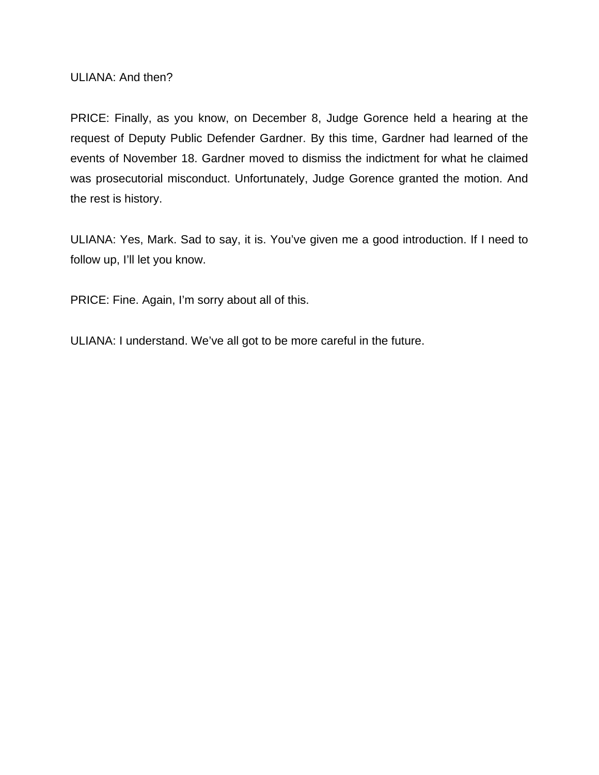ULIANA: And then?

PRICE: Finally, as you know, on December 8, Judge Gorence held a hearing at the request of Deputy Public Defender Gardner. By this time, Gardner had learned of the events of November 18. Gardner moved to dismiss the indictment for what he claimed was prosecutorial misconduct. Unfortunately, Judge Gorence granted the motion. And the rest is history.

ULIANA: Yes, Mark. Sad to say, it is. You've given me a good introduction. If I need to follow up, I'll let you know.

PRICE: Fine. Again, I'm sorry about all of this.

ULIANA: I understand. We've all got to be more careful in the future.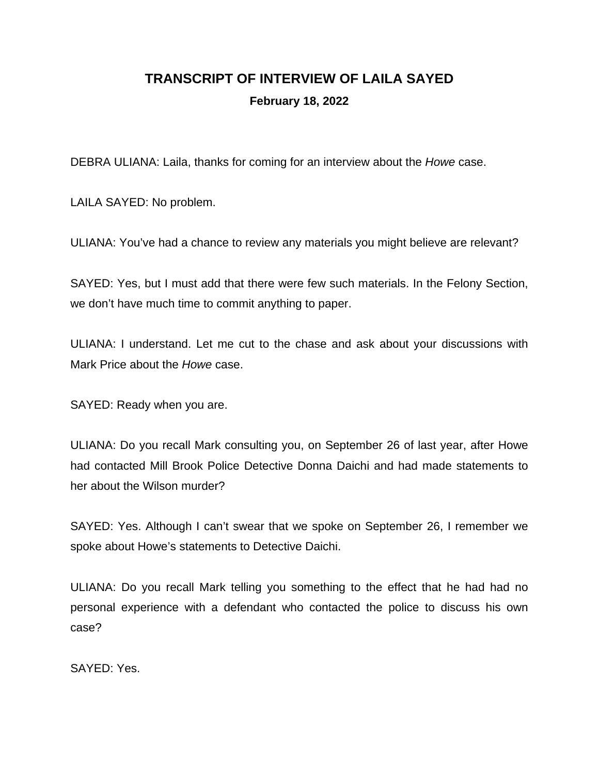## **TRANSCRIPT OF INTERVIEW OF LAILA SAYED February 18, 2022**

DEBRA ULIANA: Laila, thanks for coming for an interview about the *Howe* case.

LAILA SAYED: No problem.

ULIANA: You've had a chance to review any materials you might believe are relevant?

SAYED: Yes, but I must add that there were few such materials. In the Felony Section, we don't have much time to commit anything to paper.

ULIANA: I understand. Let me cut to the chase and ask about your discussions with Mark Price about the *Howe* case.

SAYED: Ready when you are.

ULIANA: Do you recall Mark consulting you, on September 26 of last year, after Howe had contacted Mill Brook Police Detective Donna Daichi and had made statements to her about the Wilson murder?

SAYED: Yes. Although I can't swear that we spoke on September 26, I remember we spoke about Howe's statements to Detective Daichi.

ULIANA: Do you recall Mark telling you something to the effect that he had had no personal experience with a defendant who contacted the police to discuss his own case?

SAYED: Yes.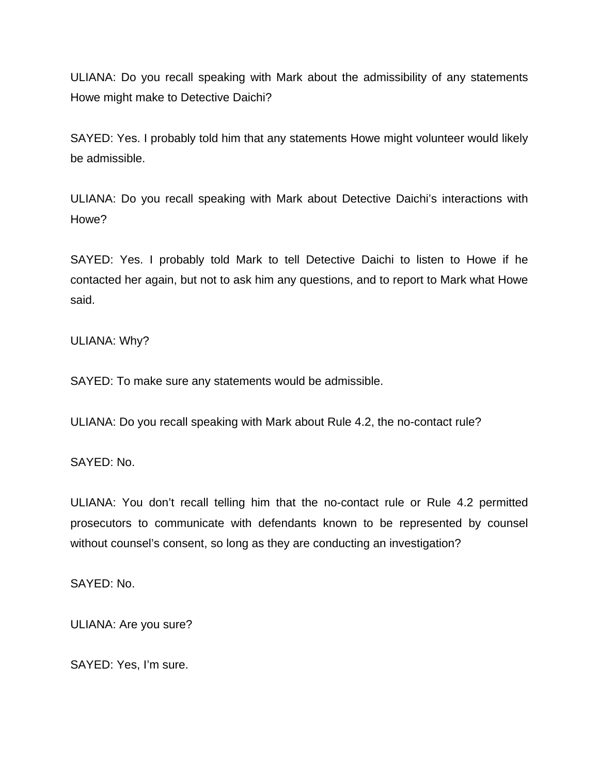ULIANA: Do you recall speaking with Mark about the admissibility of any statements Howe might make to Detective Daichi?

SAYED: Yes. I probably told him that any statements Howe might volunteer would likely be admissible.

ULIANA: Do you recall speaking with Mark about Detective Daichi's interactions with Howe?

SAYED: Yes. I probably told Mark to tell Detective Daichi to listen to Howe if he contacted her again, but not to ask him any questions, and to report to Mark what Howe said.

ULIANA: Why?

SAYED: To make sure any statements would be admissible.

ULIANA: Do you recall speaking with Mark about Rule 4.2, the no-contact rule?

SAYED: No.

ULIANA: You don't recall telling him that the no-contact rule or Rule 4.2 permitted prosecutors to communicate with defendants known to be represented by counsel without counsel's consent, so long as they are conducting an investigation?

SAYED: No.

ULIANA: Are you sure?

SAYED: Yes, I'm sure.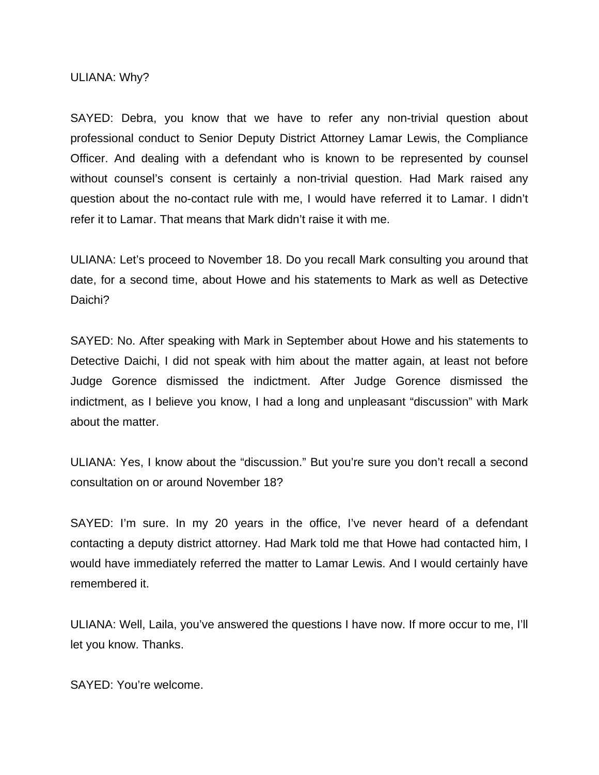ULIANA: Why?

SAYED: Debra, you know that we have to refer any non-trivial question about professional conduct to Senior Deputy District Attorney Lamar Lewis, the Compliance Officer. And dealing with a defendant who is known to be represented by counsel without counsel's consent is certainly a non-trivial question. Had Mark raised any question about the no-contact rule with me, I would have referred it to Lamar. I didn't refer it to Lamar. That means that Mark didn't raise it with me.

ULIANA: Let's proceed to November 18. Do you recall Mark consulting you around that date, for a second time, about Howe and his statements to Mark as well as Detective Daichi?

SAYED: No. After speaking with Mark in September about Howe and his statements to Detective Daichi, I did not speak with him about the matter again, at least not before Judge Gorence dismissed the indictment. After Judge Gorence dismissed the indictment, as I believe you know, I had a long and unpleasant "discussion" with Mark about the matter.

ULIANA: Yes, I know about the "discussion." But you're sure you don't recall a second consultation on or around November 18?

SAYED: I'm sure. In my 20 years in the office, I've never heard of a defendant contacting a deputy district attorney. Had Mark told me that Howe had contacted him, I would have immediately referred the matter to Lamar Lewis. And I would certainly have remembered it.

ULIANA: Well, Laila, you've answered the questions I have now. If more occur to me, I'll let you know. Thanks.

SAYED: You're welcome.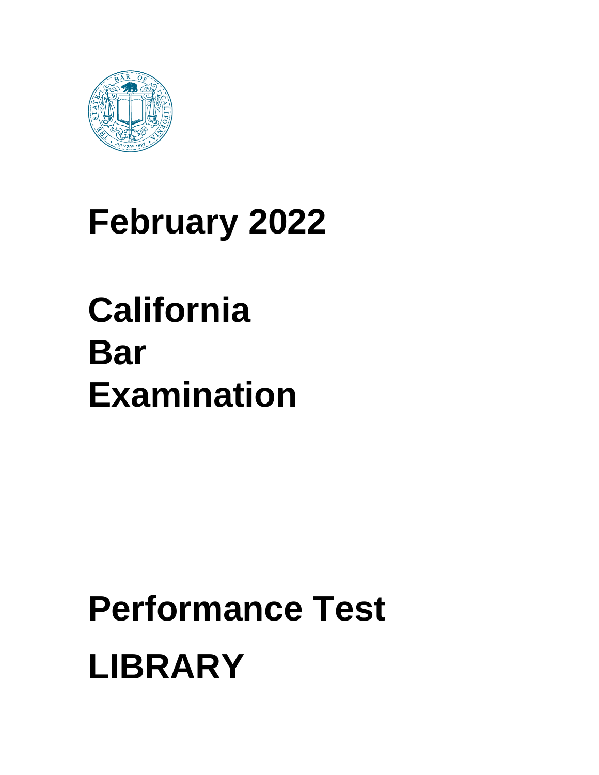

## **February 2022**

## **California Bar Examination**

# **Performance Test LIBRARY**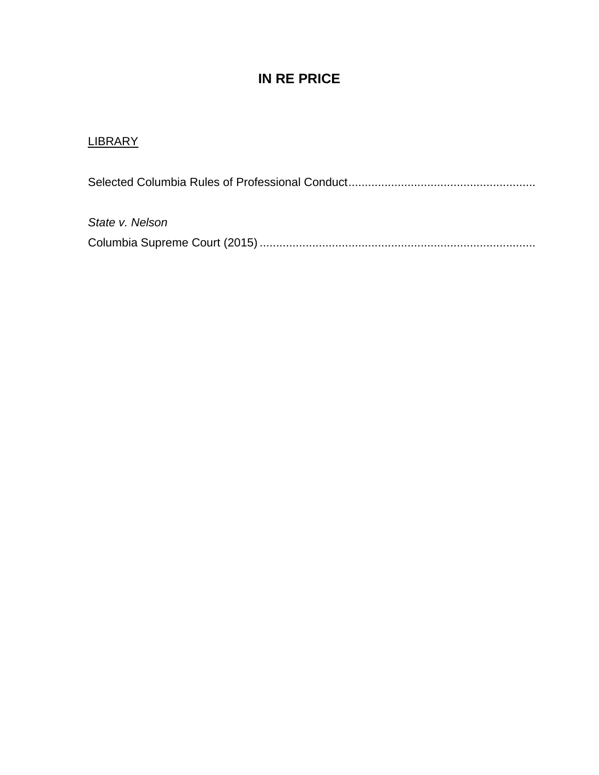### **IN RE PRICE**

#### **LIBRARY**

Selected Columbia Rules of Professional Conduct.........................................................

*State v. Nelson* Columbia Supreme Court (2015) ....................................................................................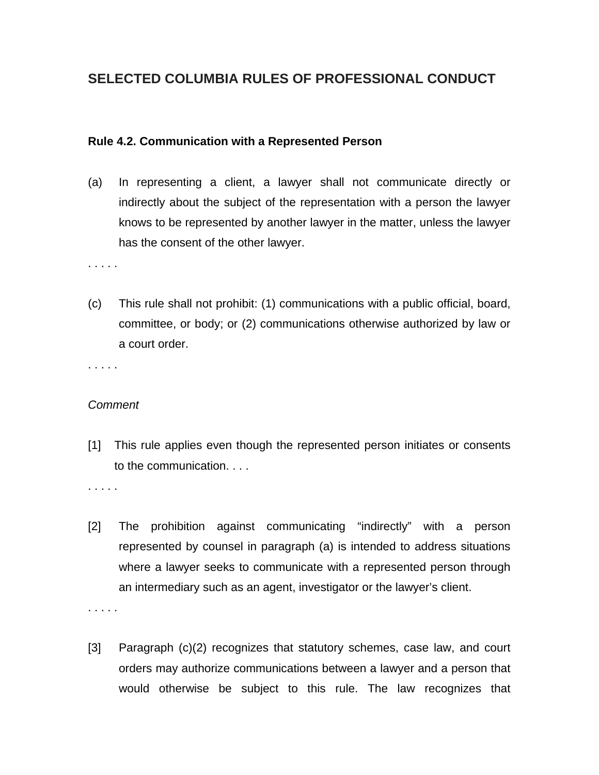#### **SELECTED COLUMBIA RULES OF PROFESSIONAL CONDUCT**

#### **Rule 4.2. Communication with a Represented Person**

(a) In representing a client, a lawyer shall not communicate directly or indirectly about the subject of the representation with a person the lawyer knows to be represented by another lawyer in the matter, unless the lawyer has the consent of the other lawyer.

. . . . .

(c) This rule shall not prohibit: (1) communications with a public official, board, committee, or body; or (2) communications otherwise authorized by law or a court order.

. . . . .

#### *Comment*

[1] This rule applies even though the represented person initiates or consents to the communication. . . .

. . . . .

. . . . .

- [2] The prohibition against communicating "indirectly" with a person represented by counsel in paragraph (a) is intended to address situations where a lawyer seeks to communicate with a represented person through an intermediary such as an agent, investigator or the lawyer's client.
- [3] Paragraph (c)(2) recognizes that statutory schemes, case law, and court orders may authorize communications between a lawyer and a person that would otherwise be subject to this rule. The law recognizes that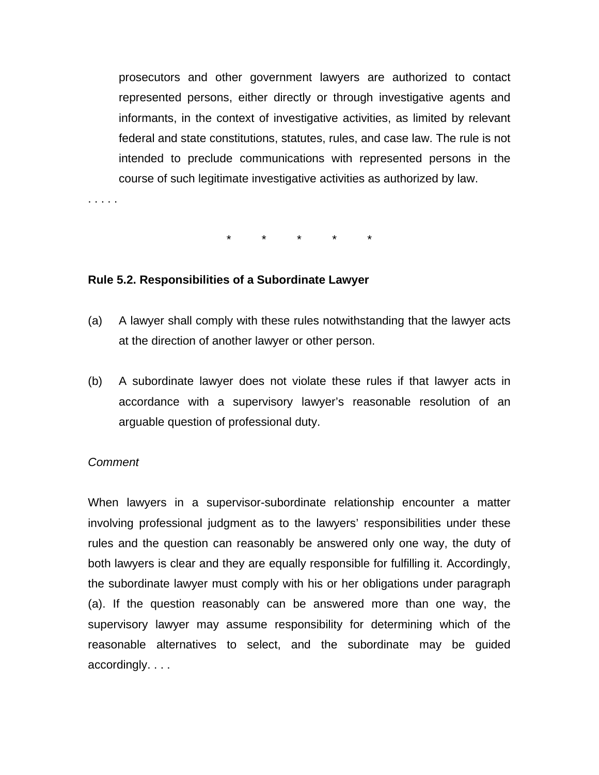prosecutors and other government lawyers are authorized to contact represented persons, either directly or through investigative agents and informants, in the context of investigative activities, as limited by relevant federal and state constitutions, statutes, rules, and case law. The rule is not intended to preclude communications with represented persons in the course of such legitimate investigative activities as authorized by law.

\* \* \* \* \*

#### **Rule 5.2. Responsibilities of a Subordinate Lawyer**

- (a) A lawyer shall comply with these rules notwithstanding that the lawyer acts at the direction of another lawyer or other person.
- (b) A subordinate lawyer does not violate these rules if that lawyer acts in accordance with a supervisory lawyer's reasonable resolution of an arguable question of professional duty.

#### *Comment*

. . . . .

When lawyers in a supervisor-subordinate relationship encounter a matter involving professional judgment as to the lawyers' responsibilities under these rules and the question can reasonably be answered only one way, the duty of both lawyers is clear and they are equally responsible for fulfilling it. Accordingly, the subordinate lawyer must comply with his or her obligations under paragraph (a). If the question reasonably can be answered more than one way, the supervisory lawyer may assume responsibility for determining which of the reasonable alternatives to select, and the subordinate may be guided accordingly. . . .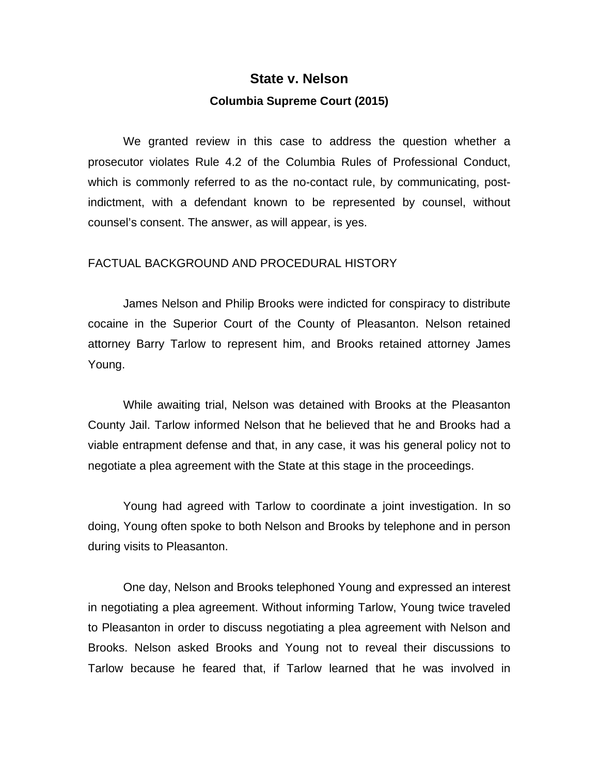## **State v. Nelson Columbia Supreme Court (2015)**

We granted review in this case to address the question whether a prosecutor violates Rule 4.2 of the Columbia Rules of Professional Conduct, which is commonly referred to as the no-contact rule, by communicating, postindictment, with a defendant known to be represented by counsel, without counsel's consent. The answer, as will appear, is yes.

#### FACTUAL BACKGROUND AND PROCEDURAL HISTORY

James Nelson and Philip Brooks were indicted for conspiracy to distribute cocaine in the Superior Court of the County of Pleasanton. Nelson retained attorney Barry Tarlow to represent him, and Brooks retained attorney James Young.

While awaiting trial, Nelson was detained with Brooks at the Pleasanton County Jail. Tarlow informed Nelson that he believed that he and Brooks had a viable entrapment defense and that, in any case, it was his general policy not to negotiate a plea agreement with the State at this stage in the proceedings.

Young had agreed with Tarlow to coordinate a joint investigation. In so doing, Young often spoke to both Nelson and Brooks by telephone and in person during visits to Pleasanton.

One day, Nelson and Brooks telephoned Young and expressed an interest in negotiating a plea agreement. Without informing Tarlow, Young twice traveled to Pleasanton in order to discuss negotiating a plea agreement with Nelson and Brooks. Nelson asked Brooks and Young not to reveal their discussions to Tarlow because he feared that, if Tarlow learned that he was involved in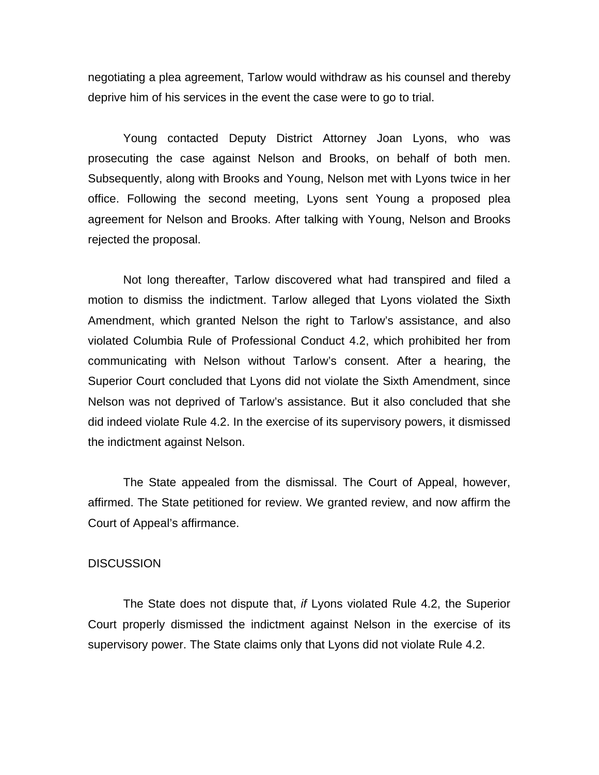negotiating a plea agreement, Tarlow would withdraw as his counsel and thereby deprive him of his services in the event the case were to go to trial.

Young contacted Deputy District Attorney Joan Lyons, who was prosecuting the case against Nelson and Brooks, on behalf of both men. Subsequently, along with Brooks and Young, Nelson met with Lyons twice in her office. Following the second meeting, Lyons sent Young a proposed plea agreement for Nelson and Brooks. After talking with Young, Nelson and Brooks rejected the proposal.

Not long thereafter, Tarlow discovered what had transpired and filed a motion to dismiss the indictment. Tarlow alleged that Lyons violated the Sixth Amendment, which granted Nelson the right to Tarlow's assistance, and also violated Columbia Rule of Professional Conduct 4.2, which prohibited her from communicating with Nelson without Tarlow's consent. After a hearing, the Superior Court concluded that Lyons did not violate the Sixth Amendment, since Nelson was not deprived of Tarlow's assistance. But it also concluded that she did indeed violate Rule 4.2. In the exercise of its supervisory powers, it dismissed the indictment against Nelson.

The State appealed from the dismissal. The Court of Appeal, however, affirmed. The State petitioned for review. We granted review, and now affirm the Court of Appeal's affirmance.

#### **DISCUSSION**

The State does not dispute that, *if* Lyons violated Rule 4.2, the Superior Court properly dismissed the indictment against Nelson in the exercise of its supervisory power. The State claims only that Lyons did not violate Rule 4.2.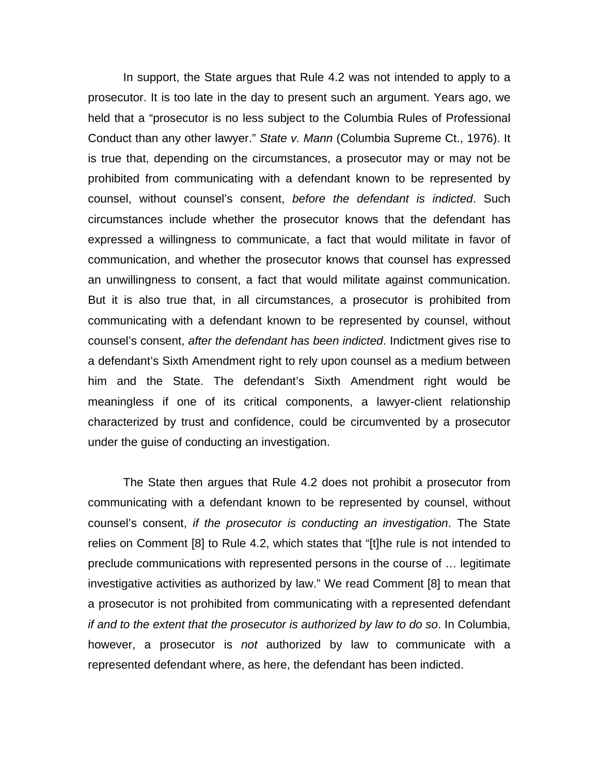In support, the State argues that Rule 4.2 was not intended to apply to a prosecutor. It is too late in the day to present such an argument. Years ago, we held that a "prosecutor is no less subject to the Columbia Rules of Professional Conduct than any other lawyer." *State v. Mann* (Columbia Supreme Ct., 1976). It is true that, depending on the circumstances, a prosecutor may or may not be prohibited from communicating with a defendant known to be represented by counsel, without counsel's consent, *before the defendant is indicted*. Such circumstances include whether the prosecutor knows that the defendant has expressed a willingness to communicate, a fact that would militate in favor of communication, and whether the prosecutor knows that counsel has expressed an unwillingness to consent, a fact that would militate against communication. But it is also true that, in all circumstances, a prosecutor is prohibited from communicating with a defendant known to be represented by counsel, without counsel's consent, *after the defendant has been indicted*. Indictment gives rise to a defendant's Sixth Amendment right to rely upon counsel as a medium between him and the State. The defendant's Sixth Amendment right would be meaningless if one of its critical components, a lawyer-client relationship characterized by trust and confidence, could be circumvented by a prosecutor under the guise of conducting an investigation.

The State then argues that Rule 4.2 does not prohibit a prosecutor from communicating with a defendant known to be represented by counsel, without counsel's consent, *if the prosecutor is conducting an investigation*. The State relies on Comment [8] to Rule 4.2, which states that "[t]he rule is not intended to preclude communications with represented persons in the course of … legitimate investigative activities as authorized by law." We read Comment [8] to mean that a prosecutor is not prohibited from communicating with a represented defendant *if and to the extent that the prosecutor is authorized by law to do so*. In Columbia, however, a prosecutor is *not* authorized by law to communicate with a represented defendant where, as here, the defendant has been indicted.